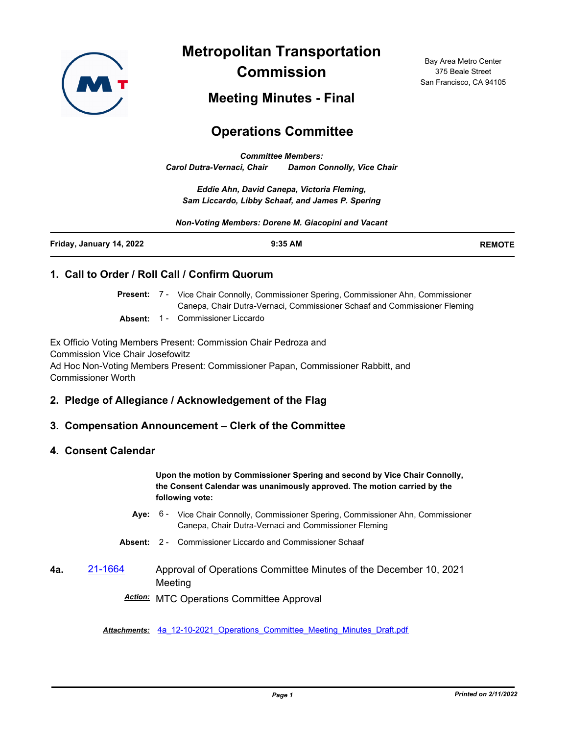

**Metropolitan Transportation Commission**

Bay Area Metro Center 375 Beale Street San Francisco, CA 94105

**Meeting Minutes - Final**

# **Operations Committee**

*Committee Members: Carol Dutra-Vernaci, Chair Damon Connolly, Vice Chair*

*Eddie Ahn, David Canepa, Victoria Fleming, Sam Liccardo, Libby Schaaf, and James P. Spering*

*Non-Voting Members: Dorene M. Giacopini and Vacant*

| Friday, January 14, 2022 | 9:35 AM | <b>REMOTE</b> |
|--------------------------|---------|---------------|
|                          |         |               |

## **1. Call to Order / Roll Call / Confirm Quorum**

Present: 7 - Vice Chair Connolly, Commissioner Spering, Commissioner Ahn, Commissioner Canepa, Chair Dutra-Vernaci, Commissioner Schaaf and Commissioner Fleming

**Absent:** 1 - Commissioner Liccardo

Ex Officio Voting Members Present: Commission Chair Pedroza and Commission Vice Chair Josefowitz Ad Hoc Non-Voting Members Present: Commissioner Papan, Commissioner Rabbitt, and Commissioner Worth

## **2. Pledge of Allegiance / Acknowledgement of the Flag**

## **3. Compensation Announcement – Clerk of the Committee**

#### **4. Consent Calendar**

**Upon the motion by Commissioner Spering and second by Vice Chair Connolly, the Consent Calendar was unanimously approved. The motion carried by the following vote:**

Aye: 6 - Vice Chair Connolly, Commissioner Spering, Commissioner Ahn, Commissioner Canepa, Chair Dutra-Vernaci and Commissioner Fleming

**Absent:** 2 - Commissioner Liccardo and Commissioner Schaaf

**4a.** [21-1664](http://mtc.legistar.com/gateway.aspx?m=l&id=/matter.aspx?key=23257) Approval of Operations Committee Minutes of the December 10, 2021 Meeting

*Action:* MTC Operations Committee Approval

*Attachments:* [4a\\_12-10-2021\\_Operations\\_Committee\\_Meeting\\_Minutes\\_Draft.pdf](http://mtc.legistar.com/gateway.aspx?M=F&ID=12b7adc7-3df4-4a68-ad49-f49d77c16072.pdf)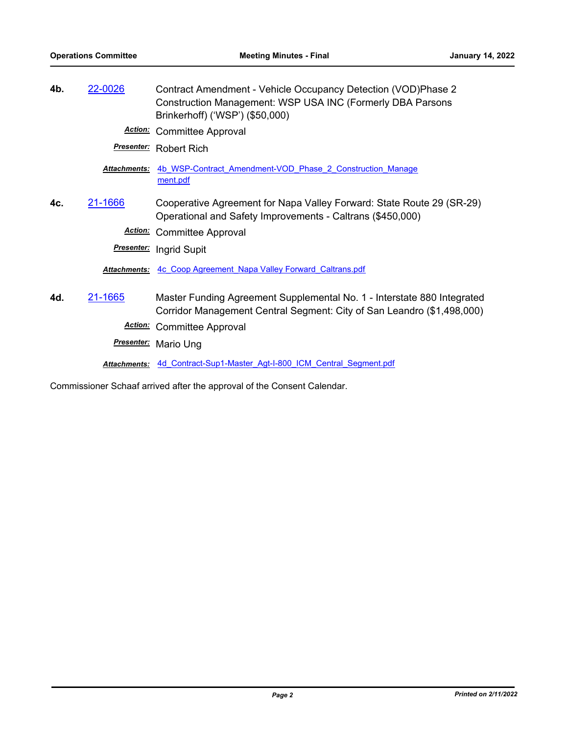| 4b. | 22-0026             | Contract Amendment - Vehicle Occupancy Detection (VOD)Phase 2<br>Construction Management: WSP USA INC (Formerly DBA Parsons<br>Brinkerhoff) ('WSP') (\$50,000) |
|-----|---------------------|----------------------------------------------------------------------------------------------------------------------------------------------------------------|
|     |                     | <b>Action:</b> Committee Approval                                                                                                                              |
|     |                     | <b>Presenter:</b> Robert Rich                                                                                                                                  |
|     | <b>Attachments:</b> | 4b WSP-Contract Amendment-VOD Phase 2 Construction Manage<br>ment.pdf                                                                                          |
| 4c. | 21-1666             | Cooperative Agreement for Napa Valley Forward: State Route 29 (SR-29)<br>Operational and Safety Improvements - Caltrans (\$450,000)                            |
|     |                     | <b>Action:</b> Committee Approval                                                                                                                              |
|     |                     | <b>Presenter:</b> Ingrid Supit                                                                                                                                 |
|     |                     | Attachments: 4c Coop Agreement Napa Valley Forward Caltrans.pdf                                                                                                |
| 4d. | 21-1665             | Master Funding Agreement Supplemental No. 1 - Interstate 880 Integrated<br>Corridor Management Central Segment: City of San Leandro (\$1,498,000)              |
|     | <u>Action:</u>      | <b>Committee Approval</b>                                                                                                                                      |
|     |                     | <b>Presenter:</b> Mario Ung                                                                                                                                    |
|     |                     | Attachments: 4d Contract-Sup1-Master Agt-I-800 ICM Central Segment.pdf                                                                                         |

Commissioner Schaaf arrived after the approval of the Consent Calendar.